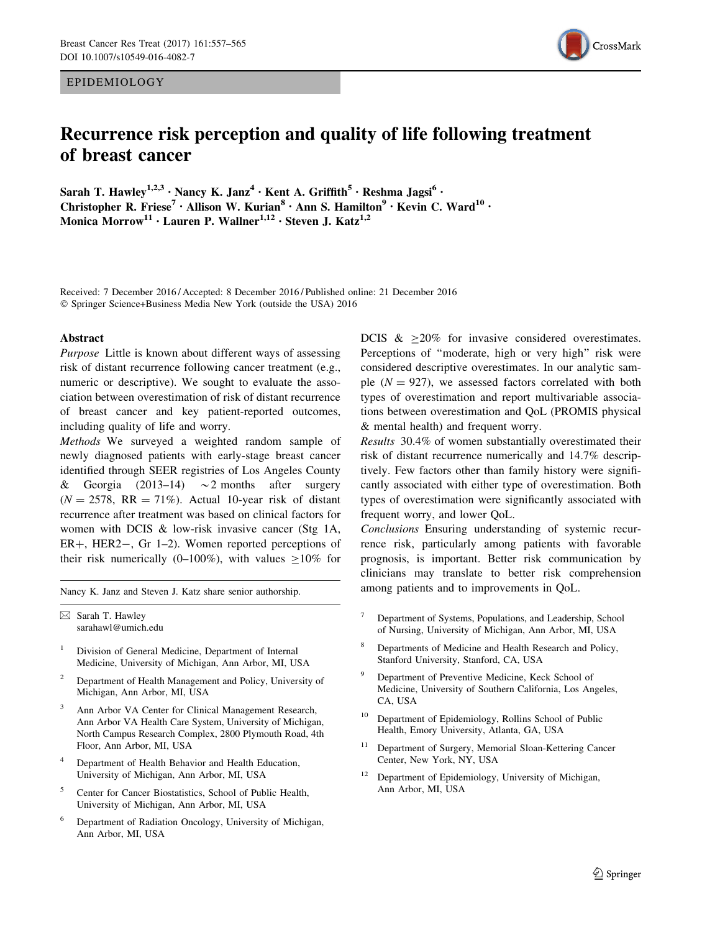EPIDEMIOLOGY

# Recurrence risk perception and quality of life following treatment of breast cancer

Sarah T. Hawley<sup>1,2,3</sup> · Nancy K. Janz<sup>4</sup> · Kent A. Griffith<sup>5</sup> · Reshma Jagsi<sup>6</sup> · Christopher R. Friese<sup>7</sup> • Allison W. Kurian<sup>8</sup> • Ann S. Hamilton<sup>9</sup> • Kevin C. Ward<sup>10</sup> • Monica Morrow<sup>11</sup> · Lauren P. Wallner<sup>1,12</sup> · Steven J. Katz<sup>1,2</sup>

Received: 7 December 2016 / Accepted: 8 December 2016 / Published online: 21 December 2016 © Springer Science+Business Media New York (outside the USA) 2016

#### Abstract

Purpose Little is known about different ways of assessing risk of distant recurrence following cancer treatment (e.g., numeric or descriptive). We sought to evaluate the association between overestimation of risk of distant recurrence of breast cancer and key patient-reported outcomes, including quality of life and worry.

Methods We surveyed a weighted random sample of newly diagnosed patients with early-stage breast cancer identified through SEER registries of Los Angeles County & Georgia (2013–14)  $\sim$  2 months after surgery  $(N = 2578, RR = 71\%)$ . Actual 10-year risk of distant recurrence after treatment was based on clinical factors for women with DCIS & low-risk invasive cancer (Stg 1A,  $ER+$ , HER2-, Gr 1-2). Women reported perceptions of their risk numerically (0–100%), with values  $\geq 10\%$  for

Nancy K. Janz and Steven J. Katz share senior authorship. among patients and to improvements in QoL.

 $\boxtimes$  Sarah T. Hawley sarahawl@umich.edu

- <sup>1</sup> Division of General Medicine, Department of Internal Medicine, University of Michigan, Ann Arbor, MI, USA
- <sup>2</sup> Department of Health Management and Policy, University of Michigan, Ann Arbor, MI, USA
- Ann Arbor VA Center for Clinical Management Research, Ann Arbor VA Health Care System, University of Michigan, North Campus Research Complex, 2800 Plymouth Road, 4th Floor, Ann Arbor, MI, USA
- Department of Health Behavior and Health Education, University of Michigan, Ann Arbor, MI, USA
- <sup>5</sup> Center for Cancer Biostatistics, School of Public Health, University of Michigan, Ann Arbor, MI, USA
- Department of Radiation Oncology, University of Michigan, Ann Arbor, MI, USA

DCIS  $\&$  >20% for invasive considered overestimates. Perceptions of "moderate, high or very high" risk were considered descriptive overestimates. In our analytic sample  $(N = 927)$ , we assessed factors correlated with both types of overestimation and report multivariable associations between overestimation and QoL (PROMIS physical & mental health) and frequent worry.

Results 30.4% of women substantially overestimated their risk of distant recurrence numerically and 14.7% descriptively. Few factors other than family history were significantly associated with either type of overestimation. Both types of overestimation were significantly associated with frequent worry, and lower QoL.

Conclusions Ensuring understanding of systemic recurrence risk, particularly among patients with favorable prognosis, is important. Better risk communication by clinicians may translate to better risk comprehension

- <sup>7</sup> Department of Systems, Populations, and Leadership, School of Nursing, University of Michigan, Ann Arbor, MI, USA
- <sup>8</sup> Departments of Medicine and Health Research and Policy, Stanford University, Stanford, CA, USA
- Department of Preventive Medicine, Keck School of Medicine, University of Southern California, Los Angeles, CA, USA
- <sup>10</sup> Department of Epidemiology, Rollins School of Public Health, Emory University, Atlanta, GA, USA
- <sup>11</sup> Department of Surgery, Memorial Sloan-Kettering Cancer Center, New York, NY, USA
- <sup>12</sup> Department of Epidemiology, University of Michigan, Ann Arbor, MI, USA

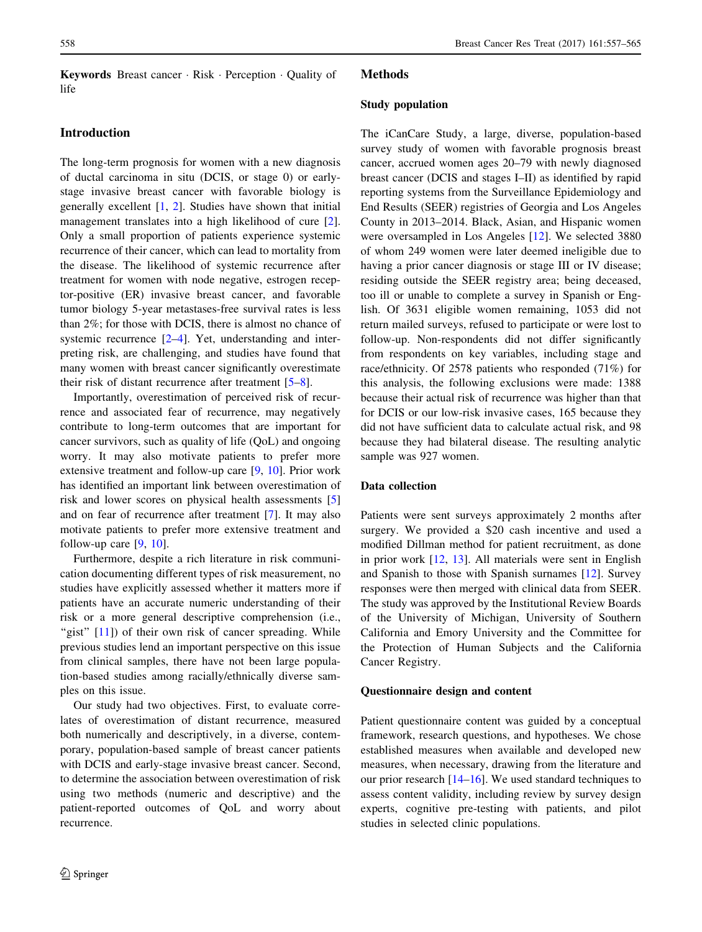Keywords Breast cancer · Risk · Perception · Quality of life

## Introduction

The long-term prognosis for women with a new diagnosis of ductal carcinoma in situ (DCIS, or stage 0) or earlystage invasive breast cancer with favorable biology is generally excellent  $[1, 2]$  $[1, 2]$  $[1, 2]$ . Studies have shown that initial management translates into a high likelihood of cure [\[2](#page-8-0)]. Only a small proportion of patients experience systemic recurrence of their cancer, which can lead to mortality from the disease. The likelihood of systemic recurrence after treatment for women with node negative, estrogen receptor-positive (ER) invasive breast cancer, and favorable tumor biology 5-year metastases-free survival rates is less than 2%; for those with DCIS, there is almost no chance of systemic recurrence  $[2-4]$ . Yet, understanding and interpreting risk, are challenging, and studies have found that many women with breast cancer significantly overestimate their risk of distant recurrence after treatment [[5–8\]](#page-8-0).

Importantly, overestimation of perceived risk of recurrence and associated fear of recurrence, may negatively contribute to long-term outcomes that are important for cancer survivors, such as quality of life (QoL) and ongoing worry. It may also motivate patients to prefer more extensive treatment and follow-up care [\[9](#page-8-0), [10\]](#page-8-0). Prior work has identified an important link between overestimation of risk and lower scores on physical health assessments [[5\]](#page-8-0) and on fear of recurrence after treatment [[7\]](#page-8-0). It may also motivate patients to prefer more extensive treatment and follow-up care  $[9, 10]$  $[9, 10]$  $[9, 10]$ .

Furthermore, despite a rich literature in risk communication documenting different types of risk measurement, no studies have explicitly assessed whether it matters more if patients have an accurate numeric understanding of their risk or a more general descriptive comprehension (i.e., "gist" [[11](#page-8-0)]) of their own risk of cancer spreading. While previous studies lend an important perspective on this issue from clinical samples, there have not been large population-based studies among racially/ethnically diverse samples on this issue.

Our study had two objectives. First, to evaluate correlates of overestimation of distant recurrence, measured both numerically and descriptively, in a diverse, contemporary, population-based sample of breast cancer patients with DCIS and early-stage invasive breast cancer. Second, to determine the association between overestimation of risk using two methods (numeric and descriptive) and the patient-reported outcomes of QoL and worry about recurrence.

# Methods

#### Study population

The iCanCare Study, a large, diverse, population-based survey study of women with favorable prognosis breast cancer, accrued women ages 20–79 with newly diagnosed breast cancer (DCIS and stages I–II) as identified by rapid reporting systems from the Surveillance Epidemiology and End Results (SEER) registries of Georgia and Los Angeles County in 2013–2014. Black, Asian, and Hispanic women were oversampled in Los Angeles [\[12](#page-8-0)]. We selected 3880 of whom 249 women were later deemed ineligible due to having a prior cancer diagnosis or stage III or IV disease; residing outside the SEER registry area; being deceased, too ill or unable to complete a survey in Spanish or English. Of 3631 eligible women remaining, 1053 did not return mailed surveys, refused to participate or were lost to follow-up. Non-respondents did not differ significantly from respondents on key variables, including stage and race/ethnicity. Of 2578 patients who responded (71%) for this analysis, the following exclusions were made: 1388 because their actual risk of recurrence was higher than that for DCIS or our low-risk invasive cases, 165 because they did not have sufficient data to calculate actual risk, and 98 because they had bilateral disease. The resulting analytic sample was 927 women.

### Data collection

Patients were sent surveys approximately 2 months after surgery. We provided a \$20 cash incentive and used a modified Dillman method for patient recruitment, as done in prior work [[12,](#page-8-0) [13\]](#page-8-0). All materials were sent in English and Spanish to those with Spanish surnames [[12\]](#page-8-0). Survey responses were then merged with clinical data from SEER. The study was approved by the Institutional Review Boards of the University of Michigan, University of Southern California and Emory University and the Committee for the Protection of Human Subjects and the California Cancer Registry.

#### Questionnaire design and content

Patient questionnaire content was guided by a conceptual framework, research questions, and hypotheses. We chose established measures when available and developed new measures, when necessary, drawing from the literature and our prior research [[14–16](#page-8-0)]. We used standard techniques to assess content validity, including review by survey design experts, cognitive pre-testing with patients, and pilot studies in selected clinic populations.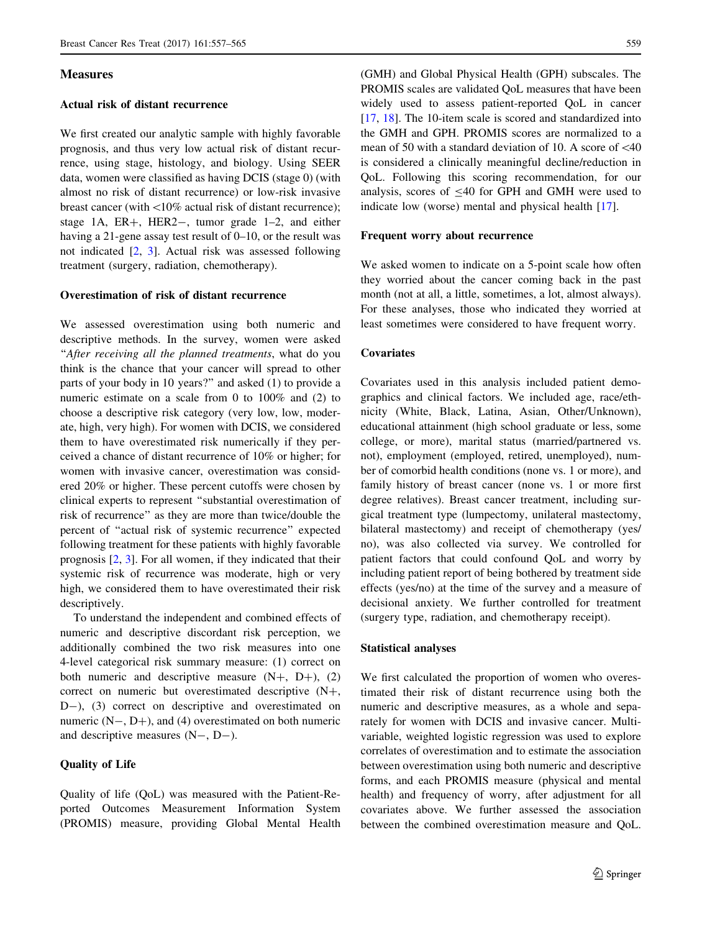### **Measures**

## Actual risk of distant recurrence

We first created our analytic sample with highly favorable prognosis, and thus very low actual risk of distant recurrence, using stage, histology, and biology. Using SEER data, women were classified as having DCIS (stage 0) (with almost no risk of distant recurrence) or low-risk invasive breast cancer (with  $\langle10\%$  actual risk of distant recurrence); stage 1A,  $ER+$ ,  $HER2-$ , tumor grade 1-2, and either having a 21-gene assay test result of 0–10, or the result was not indicated [\[2](#page-8-0), [3](#page-8-0)]. Actual risk was assessed following treatment (surgery, radiation, chemotherapy).

#### Overestimation of risk of distant recurrence

We assessed overestimation using both numeric and descriptive methods. In the survey, women were asked "After receiving all the planned treatments, what do you think is the chance that your cancer will spread to other parts of your body in 10 years?'' and asked (1) to provide a numeric estimate on a scale from 0 to 100% and (2) to choose a descriptive risk category (very low, low, moderate, high, very high). For women with DCIS, we considered them to have overestimated risk numerically if they perceived a chance of distant recurrence of 10% or higher; for women with invasive cancer, overestimation was considered 20% or higher. These percent cutoffs were chosen by clinical experts to represent ''substantial overestimation of risk of recurrence'' as they are more than twice/double the percent of ''actual risk of systemic recurrence'' expected following treatment for these patients with highly favorable prognosis [[2,](#page-8-0) [3](#page-8-0)]. For all women, if they indicated that their systemic risk of recurrence was moderate, high or very high, we considered them to have overestimated their risk descriptively.

To understand the independent and combined effects of numeric and descriptive discordant risk perception, we additionally combined the two risk measures into one 4-level categorical risk summary measure: (1) correct on both numeric and descriptive measure  $(N+, D+), (2)$ correct on numeric but overestimated descriptive  $(N+$ , D-), (3) correct on descriptive and overestimated on numeric  $(N-, D+)$ , and (4) overestimated on both numeric and descriptive measures  $(N-, D-)$ .

#### Quality of Life

Quality of life (QoL) was measured with the Patient-Reported Outcomes Measurement Information System (PROMIS) measure, providing Global Mental Health

(GMH) and Global Physical Health (GPH) subscales. The PROMIS scales are validated QoL measures that have been widely used to assess patient-reported QoL in cancer [\[17](#page-8-0), [18\]](#page-8-0). The 10-item scale is scored and standardized into the GMH and GPH. PROMIS scores are normalized to a mean of 50 with a standard deviation of 10. A score of  $<40$ is considered a clinically meaningful decline/reduction in QoL. Following this scoring recommendation, for our analysis, scores of  $\leq 40$  for GPH and GMH were used to indicate low (worse) mental and physical health [[17\]](#page-8-0).

#### Frequent worry about recurrence

We asked women to indicate on a 5-point scale how often they worried about the cancer coming back in the past month (not at all, a little, sometimes, a lot, almost always). For these analyses, those who indicated they worried at least sometimes were considered to have frequent worry.

#### **Covariates**

Covariates used in this analysis included patient demographics and clinical factors. We included age, race/ethnicity (White, Black, Latina, Asian, Other/Unknown), educational attainment (high school graduate or less, some college, or more), marital status (married/partnered vs. not), employment (employed, retired, unemployed), number of comorbid health conditions (none vs. 1 or more), and family history of breast cancer (none vs. 1 or more first degree relatives). Breast cancer treatment, including surgical treatment type (lumpectomy, unilateral mastectomy, bilateral mastectomy) and receipt of chemotherapy (yes/ no), was also collected via survey. We controlled for patient factors that could confound QoL and worry by including patient report of being bothered by treatment side effects (yes/no) at the time of the survey and a measure of decisional anxiety. We further controlled for treatment (surgery type, radiation, and chemotherapy receipt).

#### Statistical analyses

We first calculated the proportion of women who overestimated their risk of distant recurrence using both the numeric and descriptive measures, as a whole and separately for women with DCIS and invasive cancer. Multivariable, weighted logistic regression was used to explore correlates of overestimation and to estimate the association between overestimation using both numeric and descriptive forms, and each PROMIS measure (physical and mental health) and frequency of worry, after adjustment for all covariates above. We further assessed the association between the combined overestimation measure and QoL.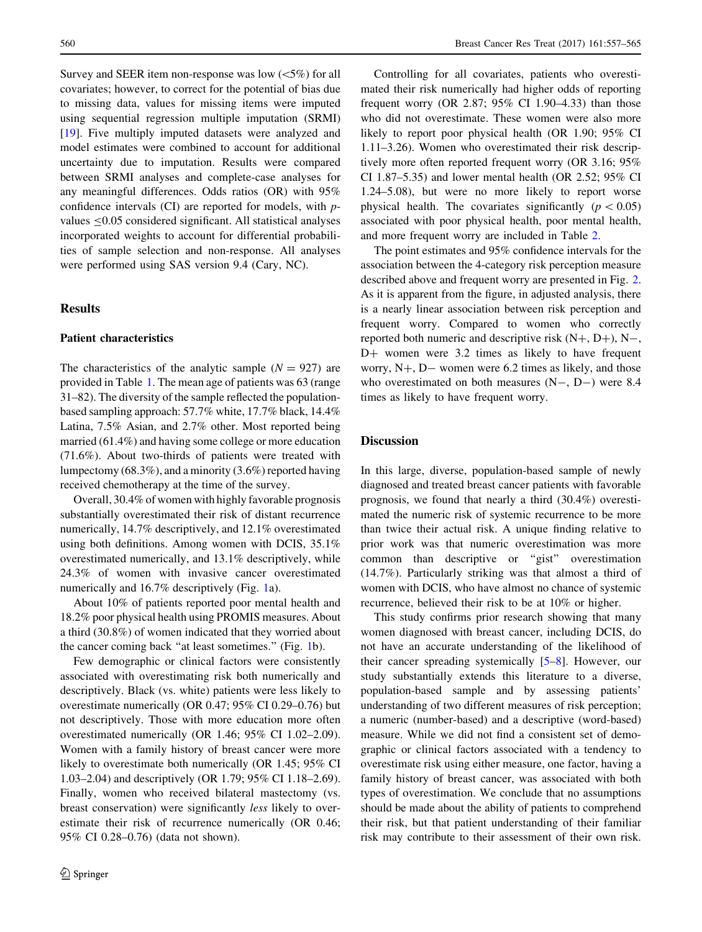Survey and SEER item non-response was low  $(<5\%)$  for all covariates; however, to correct for the potential of bias due to missing data, values for missing items were imputed using sequential regression multiple imputation (SRMI) [\[19](#page-8-0)]. Five multiply imputed datasets were analyzed and model estimates were combined to account for additional uncertainty due to imputation. Results were compared between SRMI analyses and complete-case analyses for any meaningful differences. Odds ratios (OR) with 95% confidence intervals (CI) are reported for models, with pvalues  $< 0.05$  considered significant. All statistical analyses incorporated weights to account for differential probabilities of sample selection and non-response. All analyses were performed using SAS version 9.4 (Cary, NC).

## **Results**

#### Patient characteristics

The characteristics of the analytic sample  $(N = 927)$  are provided in Table [1](#page-4-0). The mean age of patients was 63 (range 31–82). The diversity of the sample reflected the populationbased sampling approach: 57.7% white, 17.7% black, 14.4% Latina, 7.5% Asian, and 2.7% other. Most reported being married (61.4%) and having some college or more education (71.6%). About two-thirds of patients were treated with lumpectomy (68.3%), and a minority (3.6%) reported having received chemotherapy at the time of the survey.

Overall, 30.4% of women with highly favorable prognosis substantially overestimated their risk of distant recurrence numerically, 14.7% descriptively, and 12.1% overestimated using both definitions. Among women with DCIS, 35.1% overestimated numerically, and 13.1% descriptively, while 24.3% of women with invasive cancer overestimated numerically and 16.7% descriptively (Fig. [1](#page-5-0)a).

About 10% of patients reported poor mental health and 18.2% poor physical health using PROMIS measures. About a third (30.8%) of women indicated that they worried about the cancer coming back ''at least sometimes.'' (Fig. [1](#page-5-0)b).

Few demographic or clinical factors were consistently associated with overestimating risk both numerically and descriptively. Black (vs. white) patients were less likely to overestimate numerically (OR 0.47; 95% CI 0.29–0.76) but not descriptively. Those with more education more often overestimated numerically (OR 1.46; 95% CI 1.02–2.09). Women with a family history of breast cancer were more likely to overestimate both numerically (OR 1.45; 95% CI 1.03–2.04) and descriptively (OR 1.79; 95% CI 1.18–2.69). Finally, women who received bilateral mastectomy (vs. breast conservation) were significantly less likely to overestimate their risk of recurrence numerically (OR 0.46; 95% CI 0.28–0.76) (data not shown).

Controlling for all covariates, patients who overestimated their risk numerically had higher odds of reporting frequent worry (OR 2.87; 95% CI 1.90–4.33) than those who did not overestimate. These women were also more likely to report poor physical health (OR 1.90; 95% CI 1.11–3.26). Women who overestimated their risk descriptively more often reported frequent worry (OR 3.16; 95% CI 1.87–5.35) and lower mental health (OR 2.52; 95% CI 1.24–5.08), but were no more likely to report worse physical health. The covariates significantly ( $p < 0.05$ ) associated with poor physical health, poor mental health, and more frequent worry are included in Table [2](#page-6-0).

The point estimates and 95% confidence intervals for the association between the 4-category risk perception measure described above and frequent worry are presented in Fig. [2.](#page-7-0) As it is apparent from the figure, in adjusted analysis, there is a nearly linear association between risk perception and frequent worry. Compared to women who correctly reported both numeric and descriptive risk  $(N+, D+), N-,$ D+ women were 3.2 times as likely to have frequent worry,  $N+$ ,  $D-$  women were 6.2 times as likely, and those who overestimated on both measures  $(N-, D-)$  were 8.4 times as likely to have frequent worry.

#### **Discussion**

In this large, diverse, population-based sample of newly diagnosed and treated breast cancer patients with favorable prognosis, we found that nearly a third (30.4%) overestimated the numeric risk of systemic recurrence to be more than twice their actual risk. A unique finding relative to prior work was that numeric overestimation was more common than descriptive or ''gist'' overestimation (14.7%). Particularly striking was that almost a third of women with DCIS, who have almost no chance of systemic recurrence, believed their risk to be at 10% or higher.

This study confirms prior research showing that many women diagnosed with breast cancer, including DCIS, do not have an accurate understanding of the likelihood of their cancer spreading systemically [[5–8\]](#page-8-0). However, our study substantially extends this literature to a diverse, population-based sample and by assessing patients' understanding of two different measures of risk perception; a numeric (number-based) and a descriptive (word-based) measure. While we did not find a consistent set of demographic or clinical factors associated with a tendency to overestimate risk using either measure, one factor, having a family history of breast cancer, was associated with both types of overestimation. We conclude that no assumptions should be made about the ability of patients to comprehend their risk, but that patient understanding of their familiar risk may contribute to their assessment of their own risk.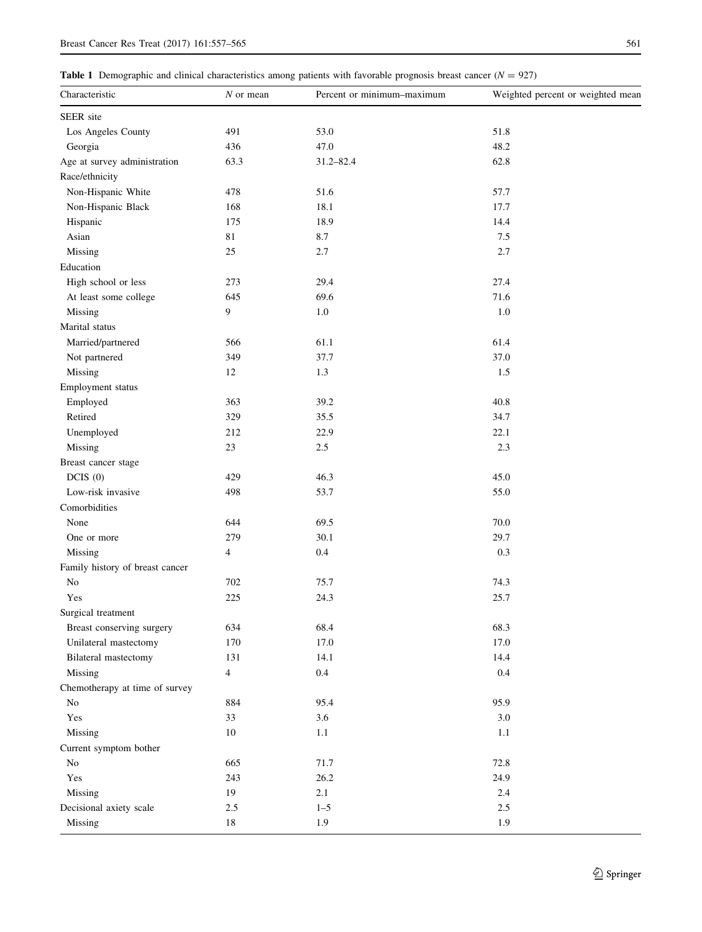<span id="page-4-0"></span>

|  |  | Table 1 Demographic and clinical characteristics among patients with favorable prognosis breast cancer ( $N = 927$ ) |  |
|--|--|----------------------------------------------------------------------------------------------------------------------|--|
|--|--|----------------------------------------------------------------------------------------------------------------------|--|

| SEER site<br>53.0<br>51.8<br>Los Angeles County<br>491<br>47.0<br>436<br>48.2<br>Georgia<br>Age at survey administration<br>63.3<br>62.8<br>31.2-82.4<br>Race/ethnicity<br>Non-Hispanic White<br>478<br>51.6<br>57.7<br>18.1<br>Non-Hispanic Black<br>168<br>17.7<br>18.9<br>Hispanic<br>175<br>14.4<br>Asian<br>81<br>8.7<br>7.5<br>Missing<br>$25\,$<br>2.7<br>2.7<br>Education<br>27.4<br>High school or less<br>273<br>29.4<br>At least some college<br>645<br>69.6<br>71.6<br>9<br>$1.0\,$<br>Missing<br>1.0<br>Marital status<br>Married/partnered<br>566<br>61.1<br>61.4<br>Not partnered<br>37.7<br>349<br>37.0<br>Missing<br>1.3<br>1.5<br>12<br>Employment status<br>Employed<br>363<br>39.2<br>40.8<br>Retired<br>329<br>35.5<br>34.7<br>212<br>22.9<br>Unemployed<br>22.1<br>2.5<br>Missing<br>$23\,$<br>2.3<br>Breast cancer stage<br>DCIS(0)<br>429<br>46.3<br>45.0<br>498<br>53.7<br>Low-risk invasive<br>55.0<br>Comorbidities<br>644<br>69.5<br>70.0<br>None<br>279<br>30.1<br>29.7<br>One or more<br>0.4<br>0.3<br>Missing<br>4<br>Family history of breast cancer<br>702<br>$\rm No$<br>75.7<br>74.3<br>Yes<br>225<br>24.3<br>25.7<br>Surgical treatment<br>68.4<br>634<br>68.3<br>Breast conserving surgery<br>17.0<br>Unilateral mastectomy<br>170<br>17.0<br>14.1<br>Bilateral mastectomy<br>131<br>14.4<br>0.4<br>Missing<br>$\overline{4}$<br>$0.4\,$<br>Chemotherapy at time of survey<br>884<br>95.4<br>95.9<br>No<br>33<br>3.6<br>3.0<br>Yes<br>Missing<br>10<br>1.1<br>1.1<br>Current symptom bother<br>$\rm No$<br>72.8<br>665<br>71.7<br>Yes<br>26.2<br>243<br>24.9<br>19<br>2.1<br>Missing<br>$2.4\,$<br>$1 - 5$<br>Decisional axiety scale<br>$2.5\,$<br>$2.5\,$<br>1.9<br>Missing<br>$18\,$<br>1.9 | Characteristic | $N$ or mean | Percent or minimum-maximum | Weighted percent or weighted mean |
|-------------------------------------------------------------------------------------------------------------------------------------------------------------------------------------------------------------------------------------------------------------------------------------------------------------------------------------------------------------------------------------------------------------------------------------------------------------------------------------------------------------------------------------------------------------------------------------------------------------------------------------------------------------------------------------------------------------------------------------------------------------------------------------------------------------------------------------------------------------------------------------------------------------------------------------------------------------------------------------------------------------------------------------------------------------------------------------------------------------------------------------------------------------------------------------------------------------------------------------------------------------------------------------------------------------------------------------------------------------------------------------------------------------------------------------------------------------------------------------------------------------------------------------------------------------------------------------------------------------------------------------------------------------------------------------------------------------------------------------|----------------|-------------|----------------------------|-----------------------------------|
|                                                                                                                                                                                                                                                                                                                                                                                                                                                                                                                                                                                                                                                                                                                                                                                                                                                                                                                                                                                                                                                                                                                                                                                                                                                                                                                                                                                                                                                                                                                                                                                                                                                                                                                                     |                |             |                            |                                   |
|                                                                                                                                                                                                                                                                                                                                                                                                                                                                                                                                                                                                                                                                                                                                                                                                                                                                                                                                                                                                                                                                                                                                                                                                                                                                                                                                                                                                                                                                                                                                                                                                                                                                                                                                     |                |             |                            |                                   |
|                                                                                                                                                                                                                                                                                                                                                                                                                                                                                                                                                                                                                                                                                                                                                                                                                                                                                                                                                                                                                                                                                                                                                                                                                                                                                                                                                                                                                                                                                                                                                                                                                                                                                                                                     |                |             |                            |                                   |
|                                                                                                                                                                                                                                                                                                                                                                                                                                                                                                                                                                                                                                                                                                                                                                                                                                                                                                                                                                                                                                                                                                                                                                                                                                                                                                                                                                                                                                                                                                                                                                                                                                                                                                                                     |                |             |                            |                                   |
|                                                                                                                                                                                                                                                                                                                                                                                                                                                                                                                                                                                                                                                                                                                                                                                                                                                                                                                                                                                                                                                                                                                                                                                                                                                                                                                                                                                                                                                                                                                                                                                                                                                                                                                                     |                |             |                            |                                   |
|                                                                                                                                                                                                                                                                                                                                                                                                                                                                                                                                                                                                                                                                                                                                                                                                                                                                                                                                                                                                                                                                                                                                                                                                                                                                                                                                                                                                                                                                                                                                                                                                                                                                                                                                     |                |             |                            |                                   |
|                                                                                                                                                                                                                                                                                                                                                                                                                                                                                                                                                                                                                                                                                                                                                                                                                                                                                                                                                                                                                                                                                                                                                                                                                                                                                                                                                                                                                                                                                                                                                                                                                                                                                                                                     |                |             |                            |                                   |
|                                                                                                                                                                                                                                                                                                                                                                                                                                                                                                                                                                                                                                                                                                                                                                                                                                                                                                                                                                                                                                                                                                                                                                                                                                                                                                                                                                                                                                                                                                                                                                                                                                                                                                                                     |                |             |                            |                                   |
|                                                                                                                                                                                                                                                                                                                                                                                                                                                                                                                                                                                                                                                                                                                                                                                                                                                                                                                                                                                                                                                                                                                                                                                                                                                                                                                                                                                                                                                                                                                                                                                                                                                                                                                                     |                |             |                            |                                   |
|                                                                                                                                                                                                                                                                                                                                                                                                                                                                                                                                                                                                                                                                                                                                                                                                                                                                                                                                                                                                                                                                                                                                                                                                                                                                                                                                                                                                                                                                                                                                                                                                                                                                                                                                     |                |             |                            |                                   |
|                                                                                                                                                                                                                                                                                                                                                                                                                                                                                                                                                                                                                                                                                                                                                                                                                                                                                                                                                                                                                                                                                                                                                                                                                                                                                                                                                                                                                                                                                                                                                                                                                                                                                                                                     |                |             |                            |                                   |
|                                                                                                                                                                                                                                                                                                                                                                                                                                                                                                                                                                                                                                                                                                                                                                                                                                                                                                                                                                                                                                                                                                                                                                                                                                                                                                                                                                                                                                                                                                                                                                                                                                                                                                                                     |                |             |                            |                                   |
|                                                                                                                                                                                                                                                                                                                                                                                                                                                                                                                                                                                                                                                                                                                                                                                                                                                                                                                                                                                                                                                                                                                                                                                                                                                                                                                                                                                                                                                                                                                                                                                                                                                                                                                                     |                |             |                            |                                   |
|                                                                                                                                                                                                                                                                                                                                                                                                                                                                                                                                                                                                                                                                                                                                                                                                                                                                                                                                                                                                                                                                                                                                                                                                                                                                                                                                                                                                                                                                                                                                                                                                                                                                                                                                     |                |             |                            |                                   |
|                                                                                                                                                                                                                                                                                                                                                                                                                                                                                                                                                                                                                                                                                                                                                                                                                                                                                                                                                                                                                                                                                                                                                                                                                                                                                                                                                                                                                                                                                                                                                                                                                                                                                                                                     |                |             |                            |                                   |
|                                                                                                                                                                                                                                                                                                                                                                                                                                                                                                                                                                                                                                                                                                                                                                                                                                                                                                                                                                                                                                                                                                                                                                                                                                                                                                                                                                                                                                                                                                                                                                                                                                                                                                                                     |                |             |                            |                                   |
|                                                                                                                                                                                                                                                                                                                                                                                                                                                                                                                                                                                                                                                                                                                                                                                                                                                                                                                                                                                                                                                                                                                                                                                                                                                                                                                                                                                                                                                                                                                                                                                                                                                                                                                                     |                |             |                            |                                   |
|                                                                                                                                                                                                                                                                                                                                                                                                                                                                                                                                                                                                                                                                                                                                                                                                                                                                                                                                                                                                                                                                                                                                                                                                                                                                                                                                                                                                                                                                                                                                                                                                                                                                                                                                     |                |             |                            |                                   |
|                                                                                                                                                                                                                                                                                                                                                                                                                                                                                                                                                                                                                                                                                                                                                                                                                                                                                                                                                                                                                                                                                                                                                                                                                                                                                                                                                                                                                                                                                                                                                                                                                                                                                                                                     |                |             |                            |                                   |
|                                                                                                                                                                                                                                                                                                                                                                                                                                                                                                                                                                                                                                                                                                                                                                                                                                                                                                                                                                                                                                                                                                                                                                                                                                                                                                                                                                                                                                                                                                                                                                                                                                                                                                                                     |                |             |                            |                                   |
|                                                                                                                                                                                                                                                                                                                                                                                                                                                                                                                                                                                                                                                                                                                                                                                                                                                                                                                                                                                                                                                                                                                                                                                                                                                                                                                                                                                                                                                                                                                                                                                                                                                                                                                                     |                |             |                            |                                   |
|                                                                                                                                                                                                                                                                                                                                                                                                                                                                                                                                                                                                                                                                                                                                                                                                                                                                                                                                                                                                                                                                                                                                                                                                                                                                                                                                                                                                                                                                                                                                                                                                                                                                                                                                     |                |             |                            |                                   |
|                                                                                                                                                                                                                                                                                                                                                                                                                                                                                                                                                                                                                                                                                                                                                                                                                                                                                                                                                                                                                                                                                                                                                                                                                                                                                                                                                                                                                                                                                                                                                                                                                                                                                                                                     |                |             |                            |                                   |
|                                                                                                                                                                                                                                                                                                                                                                                                                                                                                                                                                                                                                                                                                                                                                                                                                                                                                                                                                                                                                                                                                                                                                                                                                                                                                                                                                                                                                                                                                                                                                                                                                                                                                                                                     |                |             |                            |                                   |
|                                                                                                                                                                                                                                                                                                                                                                                                                                                                                                                                                                                                                                                                                                                                                                                                                                                                                                                                                                                                                                                                                                                                                                                                                                                                                                                                                                                                                                                                                                                                                                                                                                                                                                                                     |                |             |                            |                                   |
|                                                                                                                                                                                                                                                                                                                                                                                                                                                                                                                                                                                                                                                                                                                                                                                                                                                                                                                                                                                                                                                                                                                                                                                                                                                                                                                                                                                                                                                                                                                                                                                                                                                                                                                                     |                |             |                            |                                   |
|                                                                                                                                                                                                                                                                                                                                                                                                                                                                                                                                                                                                                                                                                                                                                                                                                                                                                                                                                                                                                                                                                                                                                                                                                                                                                                                                                                                                                                                                                                                                                                                                                                                                                                                                     |                |             |                            |                                   |
|                                                                                                                                                                                                                                                                                                                                                                                                                                                                                                                                                                                                                                                                                                                                                                                                                                                                                                                                                                                                                                                                                                                                                                                                                                                                                                                                                                                                                                                                                                                                                                                                                                                                                                                                     |                |             |                            |                                   |
|                                                                                                                                                                                                                                                                                                                                                                                                                                                                                                                                                                                                                                                                                                                                                                                                                                                                                                                                                                                                                                                                                                                                                                                                                                                                                                                                                                                                                                                                                                                                                                                                                                                                                                                                     |                |             |                            |                                   |
|                                                                                                                                                                                                                                                                                                                                                                                                                                                                                                                                                                                                                                                                                                                                                                                                                                                                                                                                                                                                                                                                                                                                                                                                                                                                                                                                                                                                                                                                                                                                                                                                                                                                                                                                     |                |             |                            |                                   |
|                                                                                                                                                                                                                                                                                                                                                                                                                                                                                                                                                                                                                                                                                                                                                                                                                                                                                                                                                                                                                                                                                                                                                                                                                                                                                                                                                                                                                                                                                                                                                                                                                                                                                                                                     |                |             |                            |                                   |
|                                                                                                                                                                                                                                                                                                                                                                                                                                                                                                                                                                                                                                                                                                                                                                                                                                                                                                                                                                                                                                                                                                                                                                                                                                                                                                                                                                                                                                                                                                                                                                                                                                                                                                                                     |                |             |                            |                                   |
|                                                                                                                                                                                                                                                                                                                                                                                                                                                                                                                                                                                                                                                                                                                                                                                                                                                                                                                                                                                                                                                                                                                                                                                                                                                                                                                                                                                                                                                                                                                                                                                                                                                                                                                                     |                |             |                            |                                   |
|                                                                                                                                                                                                                                                                                                                                                                                                                                                                                                                                                                                                                                                                                                                                                                                                                                                                                                                                                                                                                                                                                                                                                                                                                                                                                                                                                                                                                                                                                                                                                                                                                                                                                                                                     |                |             |                            |                                   |
|                                                                                                                                                                                                                                                                                                                                                                                                                                                                                                                                                                                                                                                                                                                                                                                                                                                                                                                                                                                                                                                                                                                                                                                                                                                                                                                                                                                                                                                                                                                                                                                                                                                                                                                                     |                |             |                            |                                   |
|                                                                                                                                                                                                                                                                                                                                                                                                                                                                                                                                                                                                                                                                                                                                                                                                                                                                                                                                                                                                                                                                                                                                                                                                                                                                                                                                                                                                                                                                                                                                                                                                                                                                                                                                     |                |             |                            |                                   |
|                                                                                                                                                                                                                                                                                                                                                                                                                                                                                                                                                                                                                                                                                                                                                                                                                                                                                                                                                                                                                                                                                                                                                                                                                                                                                                                                                                                                                                                                                                                                                                                                                                                                                                                                     |                |             |                            |                                   |
|                                                                                                                                                                                                                                                                                                                                                                                                                                                                                                                                                                                                                                                                                                                                                                                                                                                                                                                                                                                                                                                                                                                                                                                                                                                                                                                                                                                                                                                                                                                                                                                                                                                                                                                                     |                |             |                            |                                   |
|                                                                                                                                                                                                                                                                                                                                                                                                                                                                                                                                                                                                                                                                                                                                                                                                                                                                                                                                                                                                                                                                                                                                                                                                                                                                                                                                                                                                                                                                                                                                                                                                                                                                                                                                     |                |             |                            |                                   |
|                                                                                                                                                                                                                                                                                                                                                                                                                                                                                                                                                                                                                                                                                                                                                                                                                                                                                                                                                                                                                                                                                                                                                                                                                                                                                                                                                                                                                                                                                                                                                                                                                                                                                                                                     |                |             |                            |                                   |
|                                                                                                                                                                                                                                                                                                                                                                                                                                                                                                                                                                                                                                                                                                                                                                                                                                                                                                                                                                                                                                                                                                                                                                                                                                                                                                                                                                                                                                                                                                                                                                                                                                                                                                                                     |                |             |                            |                                   |
|                                                                                                                                                                                                                                                                                                                                                                                                                                                                                                                                                                                                                                                                                                                                                                                                                                                                                                                                                                                                                                                                                                                                                                                                                                                                                                                                                                                                                                                                                                                                                                                                                                                                                                                                     |                |             |                            |                                   |
|                                                                                                                                                                                                                                                                                                                                                                                                                                                                                                                                                                                                                                                                                                                                                                                                                                                                                                                                                                                                                                                                                                                                                                                                                                                                                                                                                                                                                                                                                                                                                                                                                                                                                                                                     |                |             |                            |                                   |
|                                                                                                                                                                                                                                                                                                                                                                                                                                                                                                                                                                                                                                                                                                                                                                                                                                                                                                                                                                                                                                                                                                                                                                                                                                                                                                                                                                                                                                                                                                                                                                                                                                                                                                                                     |                |             |                            |                                   |
|                                                                                                                                                                                                                                                                                                                                                                                                                                                                                                                                                                                                                                                                                                                                                                                                                                                                                                                                                                                                                                                                                                                                                                                                                                                                                                                                                                                                                                                                                                                                                                                                                                                                                                                                     |                |             |                            |                                   |
|                                                                                                                                                                                                                                                                                                                                                                                                                                                                                                                                                                                                                                                                                                                                                                                                                                                                                                                                                                                                                                                                                                                                                                                                                                                                                                                                                                                                                                                                                                                                                                                                                                                                                                                                     |                |             |                            |                                   |
|                                                                                                                                                                                                                                                                                                                                                                                                                                                                                                                                                                                                                                                                                                                                                                                                                                                                                                                                                                                                                                                                                                                                                                                                                                                                                                                                                                                                                                                                                                                                                                                                                                                                                                                                     |                |             |                            |                                   |
|                                                                                                                                                                                                                                                                                                                                                                                                                                                                                                                                                                                                                                                                                                                                                                                                                                                                                                                                                                                                                                                                                                                                                                                                                                                                                                                                                                                                                                                                                                                                                                                                                                                                                                                                     |                |             |                            |                                   |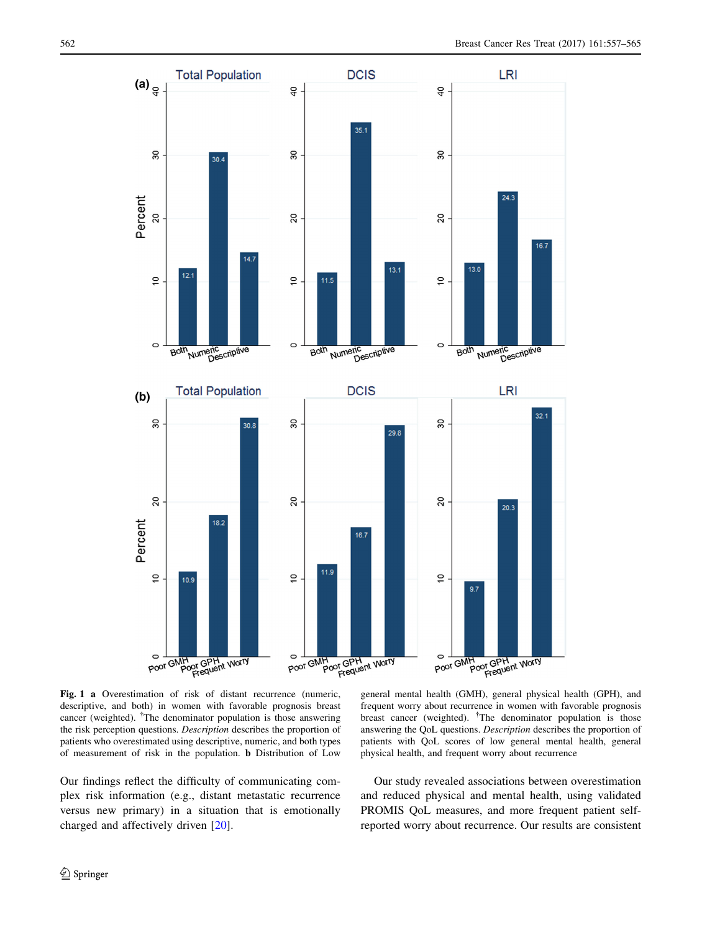<span id="page-5-0"></span>

Fig. 1 a Overestimation of risk of distant recurrence (numeric, descriptive, and both) in women with favorable prognosis breast cancer (weighted). <sup>†</sup>The denominator population is those answering the risk perception questions. Description describes the proportion of patients who overestimated using descriptive, numeric, and both types of measurement of risk in the population. b Distribution of Low

Our findings reflect the difficulty of communicating complex risk information (e.g., distant metastatic recurrence versus new primary) in a situation that is emotionally charged and affectively driven [\[20](#page-8-0)].

general mental health (GMH), general physical health (GPH), and frequent worry about recurrence in women with favorable prognosis breast cancer (weighted). <sup>†</sup>The denominator population is those answering the QoL questions. Description describes the proportion of patients with QoL scores of low general mental health, general physical health, and frequent worry about recurrence

Our study revealed associations between overestimation and reduced physical and mental health, using validated PROMIS QoL measures, and more frequent patient selfreported worry about recurrence. Our results are consistent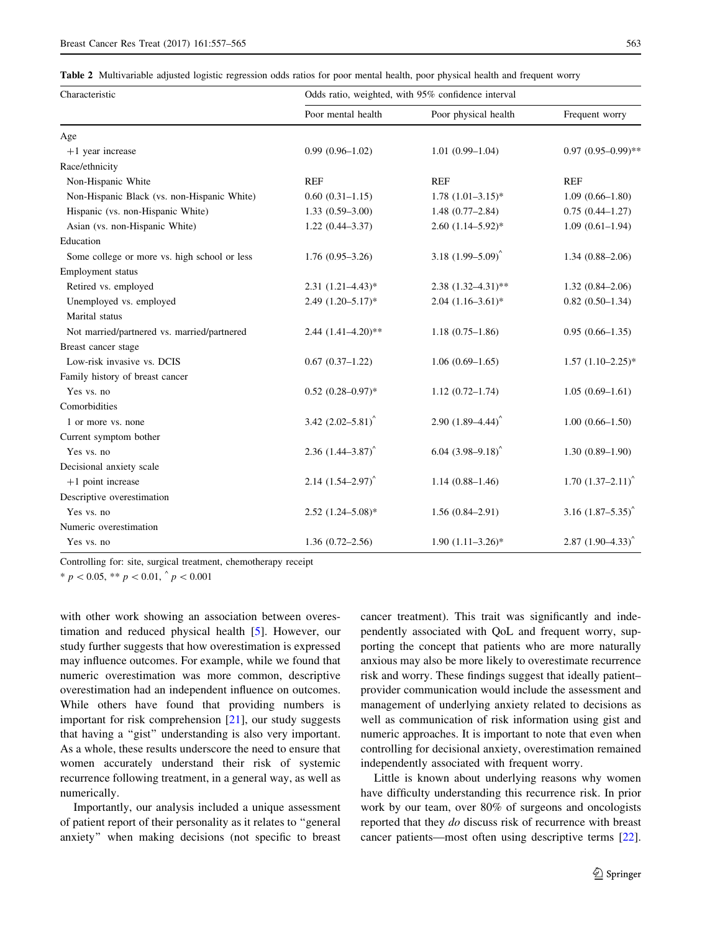<span id="page-6-0"></span>Table 2 Multivariable adjusted logistic regression odds ratios for poor mental health, poor physical health and frequent worry

| Characteristic                               | Odds ratio, weighted, with 95% confidence interval |                            |                                 |  |
|----------------------------------------------|----------------------------------------------------|----------------------------|---------------------------------|--|
|                                              | Poor mental health                                 | Poor physical health       | Frequent worry                  |  |
| Age                                          |                                                    |                            |                                 |  |
| $+1$ year increase                           | $0.99(0.96 - 1.02)$                                | $1.01(0.99-1.04)$          | $0.97(0.95-0.99)$ **            |  |
| Race/ethnicity                               |                                                    |                            |                                 |  |
| Non-Hispanic White                           | <b>REF</b>                                         | <b>REF</b>                 | <b>REF</b>                      |  |
| Non-Hispanic Black (vs. non-Hispanic White)  | $0.60(0.31-1.15)$                                  | $1.78$ $(1.01-3.15)*$      | $1.09(0.66 - 1.80)$             |  |
| Hispanic (vs. non-Hispanic White)            | $1.33(0.59 - 3.00)$                                | $1.48(0.77-2.84)$          | $0.75(0.44 - 1.27)$             |  |
| Asian (vs. non-Hispanic White)               | $1.22(0.44 - 3.37)$                                | $2.60(1.14-5.92)*$         | $1.09(0.61-1.94)$               |  |
| Education                                    |                                                    |                            |                                 |  |
| Some college or more vs. high school or less | $1.76(0.95-3.26)$                                  | 3.18 $(1.99 - 5.09)^{6}$   | $1.34(0.88 - 2.06)$             |  |
| Employment status                            |                                                    |                            |                                 |  |
| Retired vs. employed                         | $2.31(1.21 - 4.43)^*$                              | $2.38(1.32 - 4.31)$ **     | $1.32(0.84 - 2.06)$             |  |
| Unemployed vs. employed                      | $2.49$ $(1.20 - 5.17)^*$                           | $2.04$ $(1.16-3.61)*$      | $0.82(0.50-1.34)$               |  |
| Marital status                               |                                                    |                            |                                 |  |
| Not married/partnered vs. married/partnered  | $2.44(1.41-4.20)$ **                               | $1.18(0.75-1.86)$          | $0.95(0.66 - 1.35)$             |  |
| Breast cancer stage                          |                                                    |                            |                                 |  |
| Low-risk invasive vs. DCIS                   | $0.67(0.37-1.22)$                                  | $1.06(0.69-1.65)$          | $1.57$ $(1.10-2.25)$ *          |  |
| Family history of breast cancer              |                                                    |                            |                                 |  |
| Yes vs. no                                   | $0.52$ $(0.28 - 0.97)$ *                           | $1.12(0.72 - 1.74)$        | $1.05(0.69-1.61)$               |  |
| Comorbidities                                |                                                    |                            |                                 |  |
| 1 or more vs. none                           | 3.42 $(2.02 - 5.81)^{^{\circ}}$                    | $2.90(1.89 - 4.44)^{6}$    | $1.00(0.66 - 1.50)$             |  |
| Current symptom bother                       |                                                    |                            |                                 |  |
| Yes vs. no                                   | $2.36$ $(1.44 - 3.87)^{6}$                         | $6.04$ $(3.98 - 9.18)^{6}$ | $1.30(0.89 - 1.90)$             |  |
| Decisional anxiety scale                     |                                                    |                            |                                 |  |
| $+1$ point increase                          | $2.14$ $(1.54 - 2.97)^{6}$                         | $1.14(0.88 - 1.46)$        | $1.70$ $(1.37-2.11)^{6}$        |  |
| Descriptive overestimation                   |                                                    |                            |                                 |  |
| Yes vs. no                                   | $2.52$ $(1.24 - 5.08)$ *                           | $1.56(0.84 - 2.91)$        | 3.16 $(1.87 - 5.35)^{6}$        |  |
| Numeric overestimation                       |                                                    |                            |                                 |  |
| Yes vs. no                                   | $1.36(0.72 - 2.56)$                                | $1.90(1.11-3.26)$ *        | $2.87$ $(1.90-4.33)^{^{\circ}}$ |  |

Controlling for: site, surgical treatment, chemotherapy receipt

\*  $p < 0.05$ , \*\*  $p < 0.01$ , ^  $p < 0.001$ 

with other work showing an association between overestimation and reduced physical health [\[5](#page-8-0)]. However, our study further suggests that how overestimation is expressed may influence outcomes. For example, while we found that numeric overestimation was more common, descriptive overestimation had an independent influence on outcomes. While others have found that providing numbers is important for risk comprehension [[21](#page-8-0)], our study suggests that having a ''gist'' understanding is also very important. As a whole, these results underscore the need to ensure that women accurately understand their risk of systemic recurrence following treatment, in a general way, as well as numerically.

Importantly, our analysis included a unique assessment of patient report of their personality as it relates to ''general anxiety'' when making decisions (not specific to breast cancer treatment). This trait was significantly and independently associated with QoL and frequent worry, supporting the concept that patients who are more naturally anxious may also be more likely to overestimate recurrence risk and worry. These findings suggest that ideally patient– provider communication would include the assessment and management of underlying anxiety related to decisions as well as communication of risk information using gist and numeric approaches. It is important to note that even when controlling for decisional anxiety, overestimation remained independently associated with frequent worry.

Little is known about underlying reasons why women have difficulty understanding this recurrence risk. In prior work by our team, over 80% of surgeons and oncologists reported that they *do* discuss risk of recurrence with breast cancer patients—most often using descriptive terms [\[22](#page-8-0)].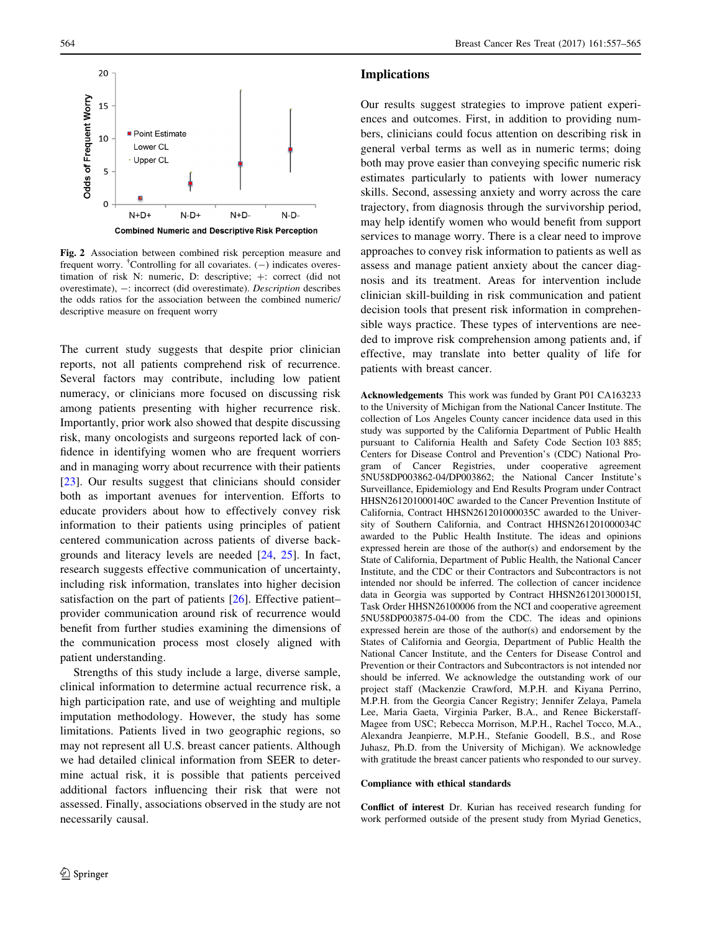<span id="page-7-0"></span>

Fig. 2 Association between combined risk perception measure and frequent worry. <sup>†</sup>Controlling for all covariates.  $(-)$  indicates overestimation of risk N: numeric, D: descriptive;  $+$ : correct (did not overestimate), -: incorrect (did overestimate). Description describes the odds ratios for the association between the combined numeric/ descriptive measure on frequent worry

The current study suggests that despite prior clinician reports, not all patients comprehend risk of recurrence. Several factors may contribute, including low patient numeracy, or clinicians more focused on discussing risk among patients presenting with higher recurrence risk. Importantly, prior work also showed that despite discussing risk, many oncologists and surgeons reported lack of confidence in identifying women who are frequent worriers and in managing worry about recurrence with their patients [\[23](#page-8-0)]. Our results suggest that clinicians should consider both as important avenues for intervention. Efforts to educate providers about how to effectively convey risk information to their patients using principles of patient centered communication across patients of diverse backgrounds and literacy levels are needed [[24,](#page-8-0) [25\]](#page-8-0). In fact, research suggests effective communication of uncertainty, including risk information, translates into higher decision satisfaction on the part of patients [\[26](#page-8-0)]. Effective patient– provider communication around risk of recurrence would benefit from further studies examining the dimensions of the communication process most closely aligned with patient understanding.

Strengths of this study include a large, diverse sample, clinical information to determine actual recurrence risk, a high participation rate, and use of weighting and multiple imputation methodology. However, the study has some limitations. Patients lived in two geographic regions, so may not represent all U.S. breast cancer patients. Although we had detailed clinical information from SEER to determine actual risk, it is possible that patients perceived additional factors influencing their risk that were not assessed. Finally, associations observed in the study are not necessarily causal.

## Implications

Our results suggest strategies to improve patient experiences and outcomes. First, in addition to providing numbers, clinicians could focus attention on describing risk in general verbal terms as well as in numeric terms; doing both may prove easier than conveying specific numeric risk estimates particularly to patients with lower numeracy skills. Second, assessing anxiety and worry across the care trajectory, from diagnosis through the survivorship period, may help identify women who would benefit from support services to manage worry. There is a clear need to improve approaches to convey risk information to patients as well as assess and manage patient anxiety about the cancer diagnosis and its treatment. Areas for intervention include clinician skill-building in risk communication and patient decision tools that present risk information in comprehensible ways practice. These types of interventions are needed to improve risk comprehension among patients and, if effective, may translate into better quality of life for patients with breast cancer.

Acknowledgements This work was funded by Grant P01 CA163233 to the University of Michigan from the National Cancer Institute. The collection of Los Angeles County cancer incidence data used in this study was supported by the California Department of Public Health pursuant to California Health and Safety Code Section 103 885; Centers for Disease Control and Prevention's (CDC) National Program of Cancer Registries, under cooperative agreement 5NU58DP003862-04/DP003862; the National Cancer Institute's Surveillance, Epidemiology and End Results Program under Contract HHSN261201000140C awarded to the Cancer Prevention Institute of California, Contract HHSN261201000035C awarded to the University of Southern California, and Contract HHSN261201000034C awarded to the Public Health Institute. The ideas and opinions expressed herein are those of the author(s) and endorsement by the State of California, Department of Public Health, the National Cancer Institute, and the CDC or their Contractors and Subcontractors is not intended nor should be inferred. The collection of cancer incidence data in Georgia was supported by Contract HHSN261201300015I, Task Order HHSN26100006 from the NCI and cooperative agreement 5NU58DP003875-04-00 from the CDC. The ideas and opinions expressed herein are those of the author(s) and endorsement by the States of California and Georgia, Department of Public Health the National Cancer Institute, and the Centers for Disease Control and Prevention or their Contractors and Subcontractors is not intended nor should be inferred. We acknowledge the outstanding work of our project staff (Mackenzie Crawford, M.P.H. and Kiyana Perrino, M.P.H. from the Georgia Cancer Registry; Jennifer Zelaya, Pamela Lee, Maria Gaeta, Virginia Parker, B.A., and Renee Bickerstaff-Magee from USC; Rebecca Morrison, M.P.H., Rachel Tocco, M.A., Alexandra Jeanpierre, M.P.H., Stefanie Goodell, B.S., and Rose Juhasz, Ph.D. from the University of Michigan). We acknowledge with gratitude the breast cancer patients who responded to our survey.

#### Compliance with ethical standards

Conflict of interest Dr. Kurian has received research funding for work performed outside of the present study from Myriad Genetics,